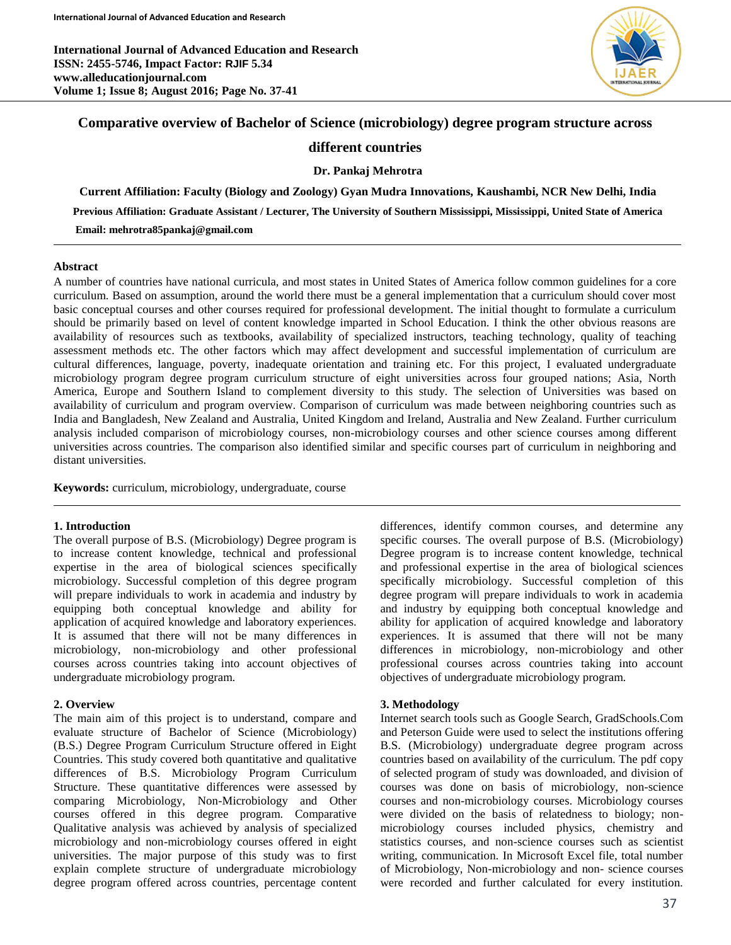**International Journal of Advanced Education and Research ISSN: 2455-5746, Impact Factor: RJIF 5.34 www.alleducationjournal.com Volume 1; Issue 8; August 2016; Page No. 37-41**



## **Comparative overview of Bachelor of Science (microbiology) degree program structure across**

## **different countries**

**Dr. Pankaj Mehrotra**

**Current Affiliation: Faculty (Biology and Zoology) Gyan Mudra Innovations, Kaushambi, NCR New Delhi, India Previous Affiliation: Graduate Assistant / Lecturer, The University of Southern Mississippi, Mississippi, United State of America Email: mehrotra85pankaj@gmail.com**

### **Abstract**

A number of countries have national curricula, and most states in United States of America follow common guidelines for a core curriculum. Based on assumption, around the world there must be a general implementation that a curriculum should cover most basic conceptual courses and other courses required for professional development. The initial thought to formulate a curriculum should be primarily based on level of content knowledge imparted in School Education. I think the other obvious reasons are availability of resources such as textbooks, availability of specialized instructors, teaching technology, quality of teaching assessment methods etc. The other factors which may affect development and successful implementation of curriculum are cultural differences, language, poverty, inadequate orientation and training etc. For this project, I evaluated undergraduate microbiology program degree program curriculum structure of eight universities across four grouped nations; Asia, North America, Europe and Southern Island to complement diversity to this study. The selection of Universities was based on availability of curriculum and program overview. Comparison of curriculum was made between neighboring countries such as India and Bangladesh, New Zealand and Australia, United Kingdom and Ireland, Australia and New Zealand. Further curriculum analysis included comparison of microbiology courses, non-microbiology courses and other science courses among different universities across countries. The comparison also identified similar and specific courses part of curriculum in neighboring and distant universities.

**Keywords:** curriculum, microbiology, undergraduate, course

### **1. Introduction**

The overall purpose of B.S. (Microbiology) Degree program is to increase content knowledge, technical and professional expertise in the area of biological sciences specifically microbiology. Successful completion of this degree program will prepare individuals to work in academia and industry by equipping both conceptual knowledge and ability for application of acquired knowledge and laboratory experiences. It is assumed that there will not be many differences in microbiology, non-microbiology and other professional courses across countries taking into account objectives of undergraduate microbiology program.

#### **2. Overview**

The main aim of this project is to understand, compare and evaluate structure of Bachelor of Science (Microbiology) (B.S.) Degree Program Curriculum Structure offered in Eight Countries. This study covered both quantitative and qualitative differences of B.S. Microbiology Program Curriculum Structure. These quantitative differences were assessed by comparing Microbiology, Non-Microbiology and Other courses offered in this degree program. Comparative Qualitative analysis was achieved by analysis of specialized microbiology and non-microbiology courses offered in eight universities. The major purpose of this study was to first explain complete structure of undergraduate microbiology degree program offered across countries, percentage content differences, identify common courses, and determine any specific courses. The overall purpose of B.S. (Microbiology) Degree program is to increase content knowledge, technical and professional expertise in the area of biological sciences specifically microbiology. Successful completion of this degree program will prepare individuals to work in academia and industry by equipping both conceptual knowledge and ability for application of acquired knowledge and laboratory experiences. It is assumed that there will not be many differences in microbiology, non-microbiology and other professional courses across countries taking into account objectives of undergraduate microbiology program.

#### **3. Methodology**

Internet search tools such as Google Search, GradSchools.Com and Peterson Guide were used to select the institutions offering B.S. (Microbiology) undergraduate degree program across countries based on availability of the curriculum. The pdf copy of selected program of study was downloaded, and division of courses was done on basis of microbiology, non-science courses and non-microbiology courses. Microbiology courses were divided on the basis of relatedness to biology; nonmicrobiology courses included physics, chemistry and statistics courses, and non-science courses such as scientist writing, communication. In Microsoft Excel file, total number of Microbiology, Non-microbiology and non- science courses were recorded and further calculated for every institution.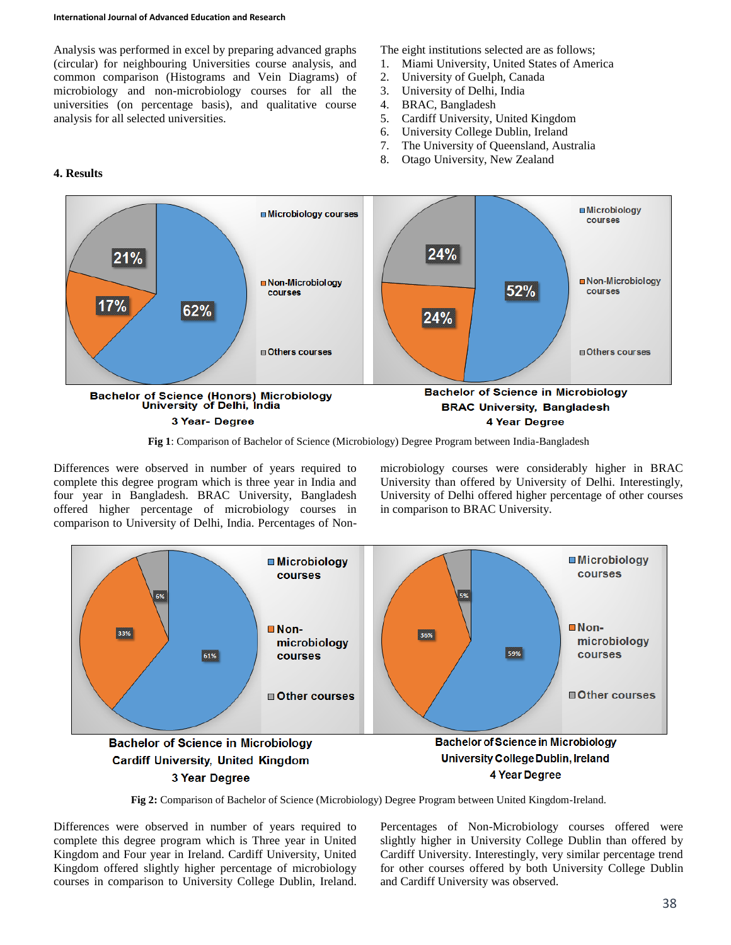#### **International Journal of Advanced Education and Research**

Analysis was performed in excel by preparing advanced graphs (circular) for neighbouring Universities course analysis, and common comparison (Histograms and Vein Diagrams) of microbiology and non-microbiology courses for all the universities (on percentage basis), and qualitative course analysis for all selected universities.

The eight institutions selected are as follows;

- 1. Miami University, United States of America
- 2. University of Guelph, Canada
- 3. University of Delhi, India
- 4. BRAC, Bangladesh
- 5. Cardiff University, United Kingdom
- 6. University College Dublin, Ireland
- 7. The University of Queensland, Australia
- 8. Otago University, New Zealand





**Fig 1**: Comparison of Bachelor of Science (Microbiology) Degree Program between India-Bangladesh

Differences were observed in number of years required to complete this degree program which is three year in India and four year in Bangladesh. BRAC University, Bangladesh offered higher percentage of microbiology courses in comparison to University of Delhi, India. Percentages of Nonmicrobiology courses were considerably higher in BRAC University than offered by University of Delhi. Interestingly, University of Delhi offered higher percentage of other courses in comparison to BRAC University.



**Fig 2:** Comparison of Bachelor of Science (Microbiology) Degree Program between United Kingdom-Ireland.

Differences were observed in number of years required to complete this degree program which is Three year in United Kingdom and Four year in Ireland. Cardiff University, United Kingdom offered slightly higher percentage of microbiology courses in comparison to University College Dublin, Ireland. Percentages of Non-Microbiology courses offered were slightly higher in University College Dublin than offered by Cardiff University. Interestingly, very similar percentage trend for other courses offered by both University College Dublin and Cardiff University was observed.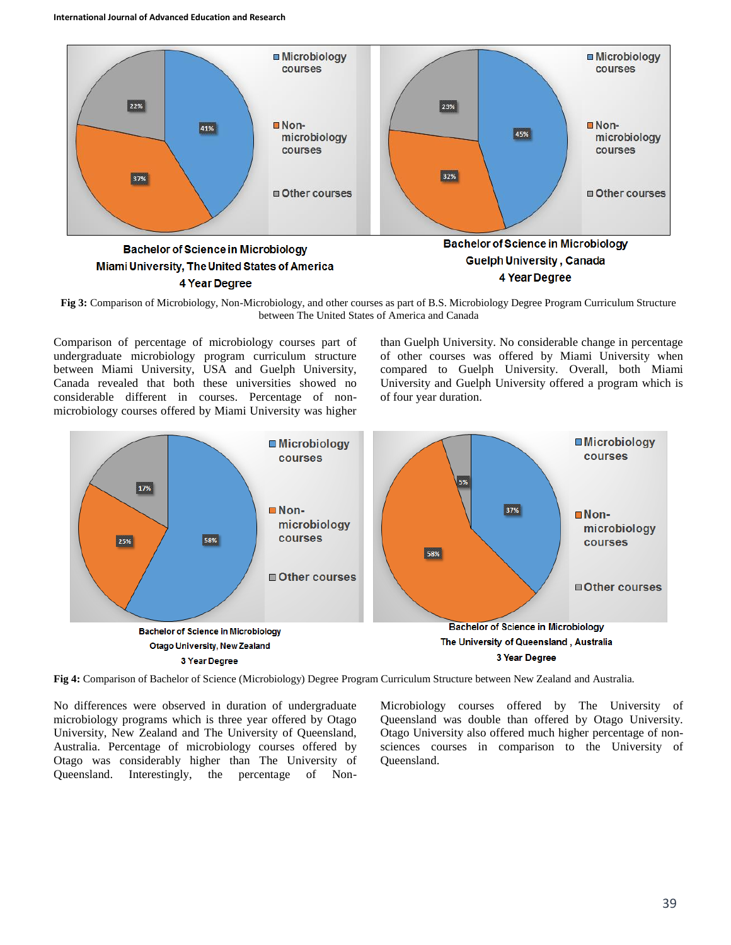

**Fig 3:** Comparison of Microbiology, Non-Microbiology, and other courses as part of B.S. Microbiology Degree Program Curriculum Structure between The United States of America and Canada

Comparison of percentage of microbiology courses part of undergraduate microbiology program curriculum structure between Miami University, USA and Guelph University, Canada revealed that both these universities showed no considerable different in courses. Percentage of nonmicrobiology courses offered by Miami University was higher

than Guelph University. No considerable change in percentage of other courses was offered by Miami University when compared to Guelph University. Overall, both Miami University and Guelph University offered a program which is of four year duration.



**Fig 4:** Comparison of Bachelor of Science (Microbiology) Degree Program Curriculum Structure between New Zealand and Australia.

No differences were observed in duration of undergraduate microbiology programs which is three year offered by Otago University, New Zealand and The University of Queensland, Australia. Percentage of microbiology courses offered by Otago was considerably higher than The University of Queensland. Interestingly, the percentage of Non-

Microbiology courses offered by The University of Queensland was double than offered by Otago University. Otago University also offered much higher percentage of nonsciences courses in comparison to the University of Queensland.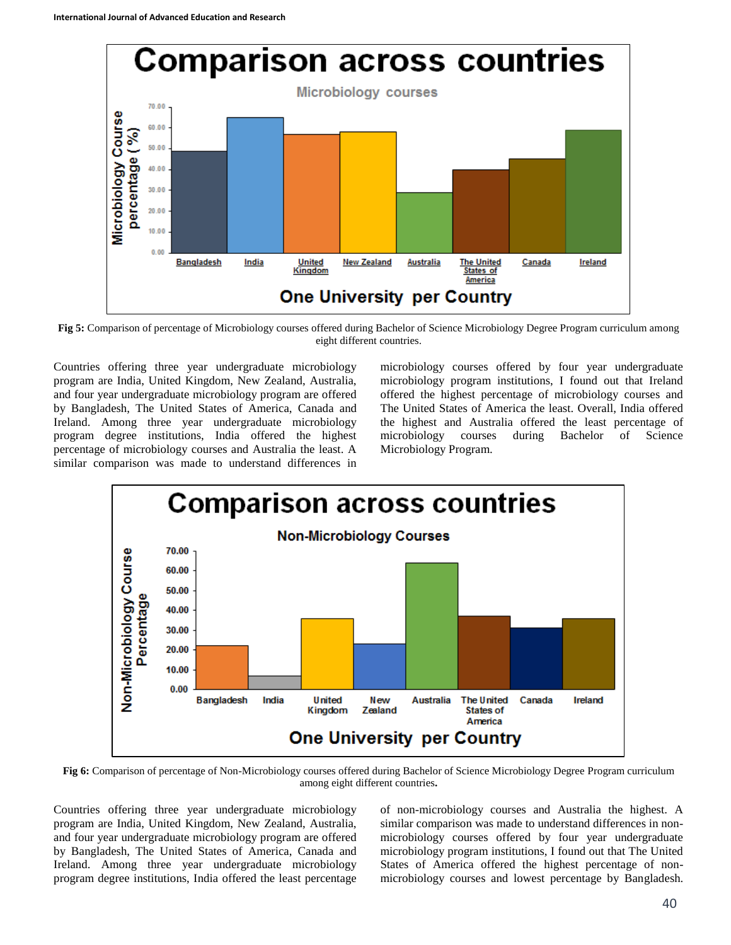

**Fig 5:** Comparison of percentage of Microbiology courses offered during Bachelor of Science Microbiology Degree Program curriculum among eight different countries.

Countries offering three year undergraduate microbiology program are India, United Kingdom, New Zealand, Australia, and four year undergraduate microbiology program are offered by Bangladesh, The United States of America, Canada and Ireland. Among three year undergraduate microbiology program degree institutions, India offered the highest percentage of microbiology courses and Australia the least. A similar comparison was made to understand differences in

microbiology courses offered by four year undergraduate microbiology program institutions, I found out that Ireland offered the highest percentage of microbiology courses and The United States of America the least. Overall, India offered the highest and Australia offered the least percentage of microbiology courses during Bachelor of Science Microbiology Program.



**Fig 6:** Comparison of percentage of Non-Microbiology courses offered during Bachelor of Science Microbiology Degree Program curriculum among eight different countries**.**

Countries offering three year undergraduate microbiology program are India, United Kingdom, New Zealand, Australia, and four year undergraduate microbiology program are offered by Bangladesh, The United States of America, Canada and Ireland. Among three year undergraduate microbiology program degree institutions, India offered the least percentage of non-microbiology courses and Australia the highest. A similar comparison was made to understand differences in nonmicrobiology courses offered by four year undergraduate microbiology program institutions, I found out that The United States of America offered the highest percentage of nonmicrobiology courses and lowest percentage by Bangladesh.